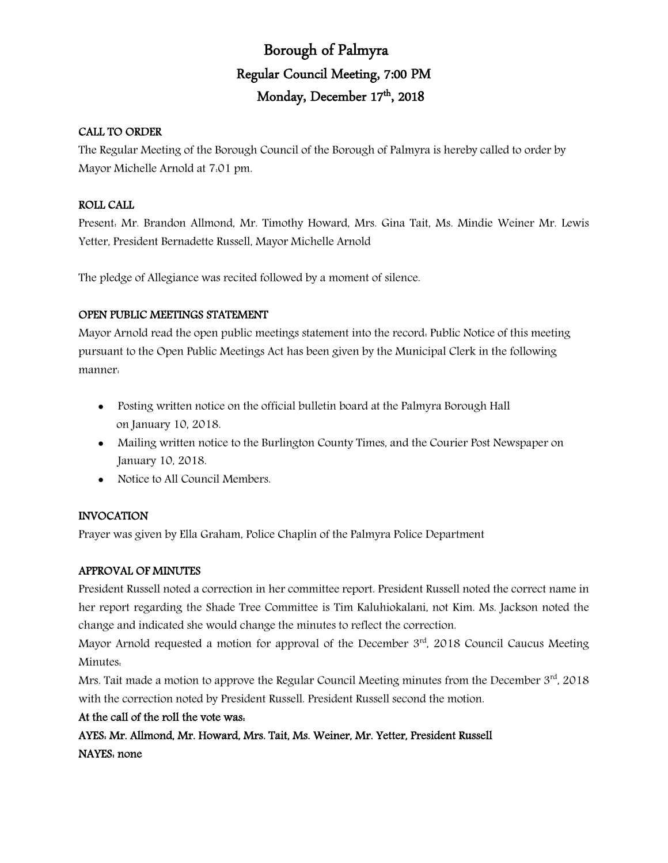# Borough of Palmyra Regular Council Meeting, 7:00 PM Monday, December 17th, 2018

# CALL TO ORDER

The Regular Meeting of the Borough Council of the Borough of Palmyra is hereby called to order by Mayor Michelle Arnold at 7:01 pm.

# ROLL CALL

Present: Mr. Brandon Allmond, Mr. Timothy Howard, Mrs. Gina Tait, Ms. Mindie Weiner Mr. Lewis Yetter, President Bernadette Russell, Mayor Michelle Arnold

The pledge of Allegiance was recited followed by a moment of silence.

# OPEN PUBLIC MEETINGS STATEMENT

Mayor Arnold read the open public meetings statement into the record: Public Notice of this meeting pursuant to the Open Public Meetings Act has been given by the Municipal Clerk in the following manner:

- Posting written notice on the official bulletin board at the Palmyra Borough Hall on January 10, 2018.
- Mailing written notice to the Burlington County Times, and the Courier Post Newspaper on January 10, 2018.
- Notice to All Council Members.

# INVOCATION

Prayer was given by Ella Graham, Police Chaplin of the Palmyra Police Department

# APPROVAL OF MINUTES

President Russell noted a correction in her committee report. President Russell noted the correct name in her report regarding the Shade Tree Committee is Tim Kaluhiokalani, not Kim. Ms. Jackson noted the change and indicated she would change the minutes to reflect the correction.

Mayor Arnold requested a motion for approval of the December  $3<sup>rd</sup>$ , 2018 Council Caucus Meeting Minutes:

Mrs. Tait made a motion to approve the Regular Council Meeting minutes from the December 3rd, 2018 with the correction noted by President Russell. President Russell second the motion.

# At the call of the roll the vote was:

AYES: Mr. Allmond, Mr. Howard, Mrs. Tait, Ms. Weiner, Mr. Yetter, President Russell NAYES: none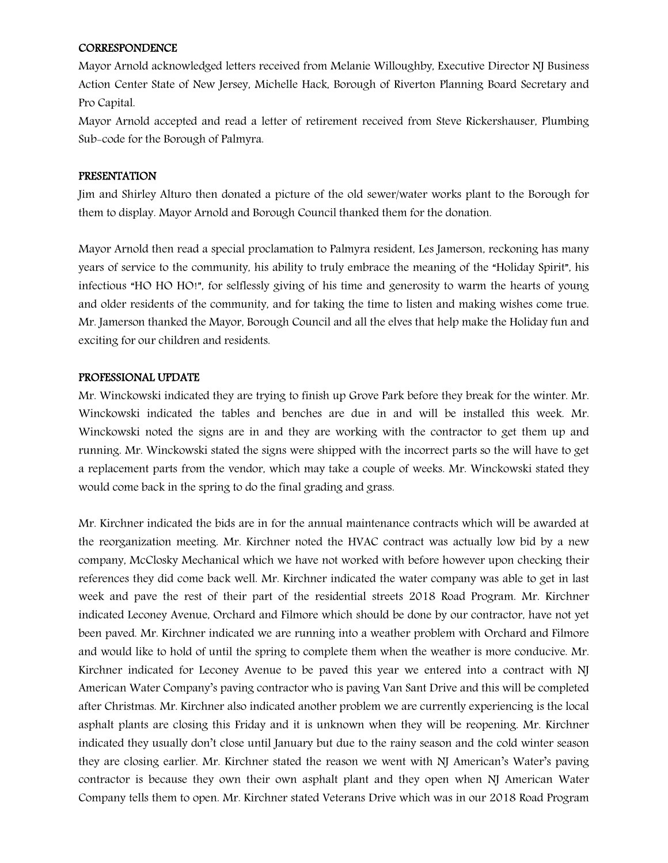### **CORRESPONDENCE**

Mayor Arnold acknowledged letters received from Melanie Willoughby, Executive Director NJ Business Action Center State of New Jersey, Michelle Hack, Borough of Riverton Planning Board Secretary and Pro Capital.

Mayor Arnold accepted and read a letter of retirement received from Steve Rickershauser, Plumbing Sub-code for the Borough of Palmyra.

### PRESENTATION

Jim and Shirley Alturo then donated a picture of the old sewer/water works plant to the Borough for them to display. Mayor Arnold and Borough Council thanked them for the donation.

Mayor Arnold then read a special proclamation to Palmyra resident, Les Jamerson, reckoning has many years of service to the community, his ability to truly embrace the meaning of the "Holiday Spirit", his infectious "HO HO HO!", for selflessly giving of his time and generosity to warm the hearts of young and older residents of the community, and for taking the time to listen and making wishes come true. Mr. Jamerson thanked the Mayor, Borough Council and all the elves that help make the Holiday fun and exciting for our children and residents.

### PROFESSIONAL UPDATE

Mr. Winckowski indicated they are trying to finish up Grove Park before they break for the winter. Mr. Winckowski indicated the tables and benches are due in and will be installed this week. Mr. Winckowski noted the signs are in and they are working with the contractor to get them up and running. Mr. Winckowski stated the signs were shipped with the incorrect parts so the will have to get a replacement parts from the vendor, which may take a couple of weeks. Mr. Winckowski stated they would come back in the spring to do the final grading and grass.

Mr. Kirchner indicated the bids are in for the annual maintenance contracts which will be awarded at the reorganization meeting. Mr. Kirchner noted the HVAC contract was actually low bid by a new company, McClosky Mechanical which we have not worked with before however upon checking their references they did come back well. Mr. Kirchner indicated the water company was able to get in last week and pave the rest of their part of the residential streets 2018 Road Program. Mr. Kirchner indicated Leconey Avenue, Orchard and Filmore which should be done by our contractor, have not yet been paved. Mr. Kirchner indicated we are running into a weather problem with Orchard and Filmore and would like to hold of until the spring to complete them when the weather is more conducive. Mr. Kirchner indicated for Leconey Avenue to be paved this year we entered into a contract with NJ American Water Company's paving contractor who is paving Van Sant Drive and this will be completed after Christmas. Mr. Kirchner also indicated another problem we are currently experiencing is the local asphalt plants are closing this Friday and it is unknown when they will be reopening. Mr. Kirchner indicated they usually don't close until January but due to the rainy season and the cold winter season they are closing earlier. Mr. Kirchner stated the reason we went with NJ American's Water's paving contractor is because they own their own asphalt plant and they open when NJ American Water Company tells them to open. Mr. Kirchner stated Veterans Drive which was in our 2018 Road Program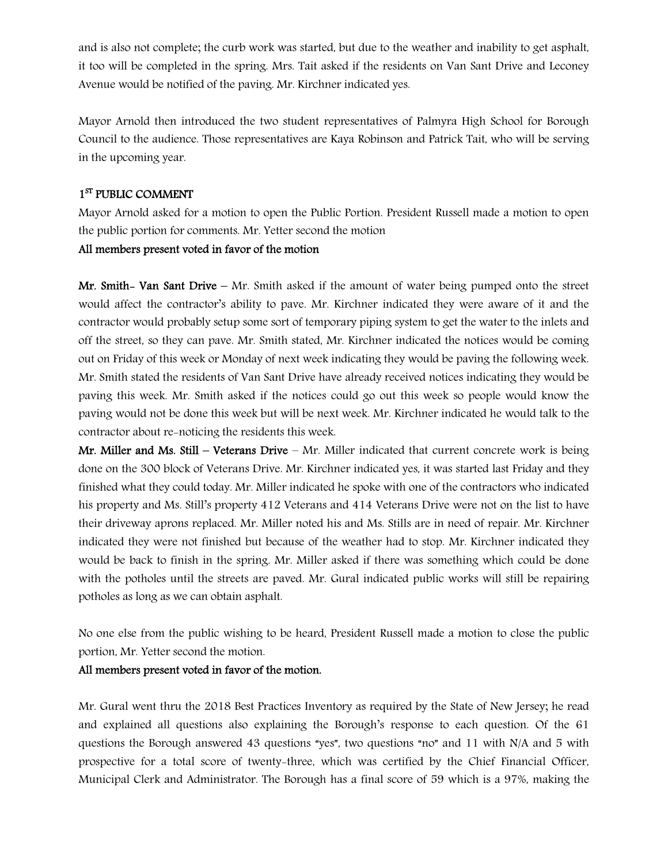and is also not complete; the curb work was started, but due to the weather and inability to get asphalt, it too will be completed in the spring. Mrs. Tait asked if the residents on Van Sant Drive and Leconey Avenue would be notified of the paving. Mr. Kirchner indicated yes.

Mayor Arnold then introduced the two student representatives of Palmyra High School for Borough Council to the audience. Those representatives are Kaya Robinson and Patrick Tait, who will be serving in the upcoming year.

# 1<sup>ST</sup> PUBLIC COMMENT

Mayor Arnold asked for a motion to open the Public Portion. President Russell made a motion to open the public portion for comments. Mr. Yetter second the motion

### All members present voted in favor of the motion

Mr. Smith- Van Sant Drive – Mr. Smith asked if the amount of water being pumped onto the street would affect the contractor's ability to pave. Mr. Kirchner indicated they were aware of it and the contractor would probably setup some sort of temporary piping system to get the water to the inlets and off the street, so they can pave. Mr. Smith stated, Mr. Kirchner indicated the notices would be coming out on Friday of this week or Monday of next week indicating they would be paving the following week. Mr. Smith stated the residents of Van Sant Drive have already received notices indicating they would be paving this week. Mr. Smith asked if the notices could go out this week so people would know the paving would not be done this week but will be next week. Mr. Kirchner indicated he would talk to the contractor about re-noticing the residents this week.

Mr. Miller and Ms. Still – Veterans Drive – Mr. Miller indicated that current concrete work is being done on the 300 block of Veterans Drive. Mr. Kirchner indicated yes, it was started last Friday and they finished what they could today. Mr. Miller indicated he spoke with one of the contractors who indicated his property and Ms. Still's property 412 Veterans and 414 Veterans Drive were not on the list to have their driveway aprons replaced. Mr. Miller noted his and Ms. Stills are in need of repair. Mr. Kirchner indicated they were not finished but because of the weather had to stop. Mr. Kirchner indicated they would be back to finish in the spring. Mr. Miller asked if there was something which could be done with the potholes until the streets are paved. Mr. Gural indicated public works will still be repairing potholes as long as we can obtain asphalt.

No one else from the public wishing to be heard, President Russell made a motion to close the public portion, Mr. Yetter second the motion.

### All members present voted in favor of the motion.

Mr. Gural went thru the 2018 Best Practices Inventory as required by the State of New Jersey; he read and explained all questions also explaining the Borough's response to each question. Of the 61 questions the Borough answered 43 questions "yes", two questions "no" and 11 with N/A and 5 with prospective for a total score of twenty-three, which was certified by the Chief Financial Officer, Municipal Clerk and Administrator. The Borough has a final score of 59 which is a 97%, making the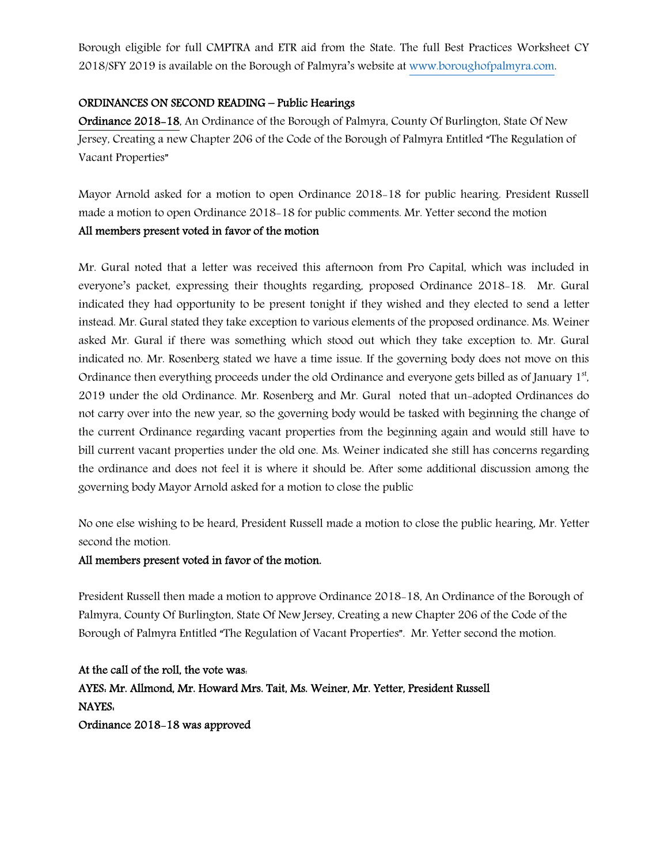Borough eligible for full CMPTRA and ETR aid from the State. The full Best Practices Worksheet CY 2018/SFY 2019 is available on the Borough of Palmyra's website at www.boroughofpalmyra.com.

## ORDINANCES ON SECOND READING – Public Hearings

Ordinance 2018-18, An Ordinance of the Borough of Palmyra, County Of Burlington, State Of New Jersey, Creating a new Chapter 206 of the Code of the Borough of Palmyra Entitled "The Regulation of Vacant Properties"

Mayor Arnold asked for a motion to open Ordinance 2018-18 for public hearing. President Russell made a motion to open Ordinance 2018-18 for public comments. Mr. Yetter second the motion All members present voted in favor of the motion

Mr. Gural noted that a letter was received this afternoon from Pro Capital, which was included in everyone's packet, expressing their thoughts regarding, proposed Ordinance 2018-18. Mr. Gural indicated they had opportunity to be present tonight if they wished and they elected to send a letter instead. Mr. Gural stated they take exception to various elements of the proposed ordinance. Ms. Weiner asked Mr. Gural if there was something which stood out which they take exception to. Mr. Gural indicated no. Mr. Rosenberg stated we have a time issue. If the governing body does not move on this Ordinance then everything proceeds under the old Ordinance and everyone gets billed as of January 1st, 2019 under the old Ordinance. Mr. Rosenberg and Mr. Gural noted that un-adopted Ordinances do not carry over into the new year, so the governing body would be tasked with beginning the change of the current Ordinance regarding vacant properties from the beginning again and would still have to bill current vacant properties under the old one. Ms. Weiner indicated she still has concerns regarding the ordinance and does not feel it is where it should be. After some additional discussion among the governing body Mayor Arnold asked for a motion to close the public

No one else wishing to be heard, President Russell made a motion to close the public hearing, Mr. Yetter second the motion.

# All members present voted in favor of the motion.

President Russell then made a motion to approve Ordinance 2018-18, An Ordinance of the Borough of Palmyra, County Of Burlington, State Of New Jersey, Creating a new Chapter 206 of the Code of the Borough of Palmyra Entitled "The Regulation of Vacant Properties". Mr. Yetter second the motion.

At the call of the roll, the vote was: AYES: Mr. Allmond, Mr. Howard Mrs. Tait, Ms. Weiner, Mr. Yetter, President Russell NAYES: Ordinance 2018-18 was approved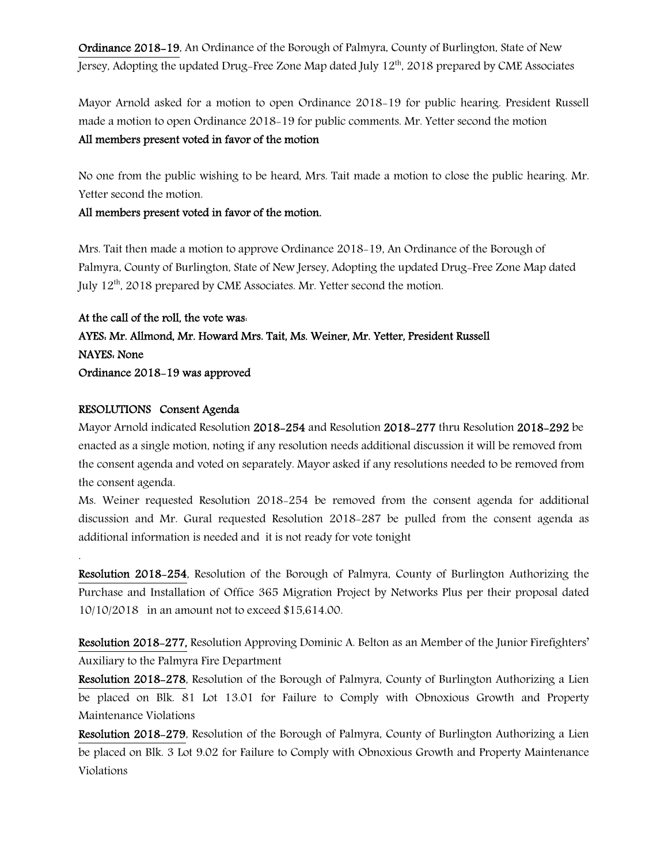Ordinance 2018-19, An Ordinance of the Borough of Palmyra, County of Burlington, State of New Jersey, Adopting the updated Drug-Free Zone Map dated July 12<sup>th</sup>, 2018 prepared by CME Associates

Mayor Arnold asked for a motion to open Ordinance 2018-19 for public hearing. President Russell made a motion to open Ordinance 2018-19 for public comments. Mr. Yetter second the motion All members present voted in favor of the motion

No one from the public wishing to be heard, Mrs. Tait made a motion to close the public hearing. Mr. Yetter second the motion.

## All members present voted in favor of the motion.

Mrs. Tait then made a motion to approve Ordinance 2018-19, An Ordinance of the Borough of Palmyra, County of Burlington, State of New Jersey, Adopting the updated Drug-Free Zone Map dated July 12th, 2018 prepared by CME Associates. Mr. Yetter second the motion.

At the call of the roll, the vote was: AYES: Mr. Allmond, Mr. Howard Mrs. Tait, Ms. Weiner, Mr. Yetter, President Russell NAYES: None Ordinance 2018-19 was approved

### RESOLUTIONS Consent Agenda

.

Mayor Arnold indicated Resolution 2018-254 and Resolution 2018-277 thru Resolution 2018-292 be enacted as a single motion, noting if any resolution needs additional discussion it will be removed from the consent agenda and voted on separately. Mayor asked if any resolutions needed to be removed from the consent agenda.

Ms. Weiner requested Resolution 2018-254 be removed from the consent agenda for additional discussion and Mr. Gural requested Resolution 2018-287 be pulled from the consent agenda as additional information is needed and it is not ready for vote tonight

Resolution 2018-254, Resolution of the Borough of Palmyra, County of Burlington Authorizing the Purchase and Installation of Office 365 Migration Project by Networks Plus per their proposal dated 10/10/2018 in an amount not to exceed \$15,614.00.

Resolution 2018-277, Resolution Approving Dominic A. Belton as an Member of the Junior Firefighters' Auxiliary to the Palmyra Fire Department

Resolution 2018-278, Resolution of the Borough of Palmyra, County of Burlington Authorizing a Lien be placed on Blk. 81 Lot 13.01 for Failure to Comply with Obnoxious Growth and Property Maintenance Violations

Resolution 2018-279, Resolution of the Borough of Palmyra, County of Burlington Authorizing a Lien be placed on Blk. 3 Lot 9.02 for Failure to Comply with Obnoxious Growth and Property Maintenance Violations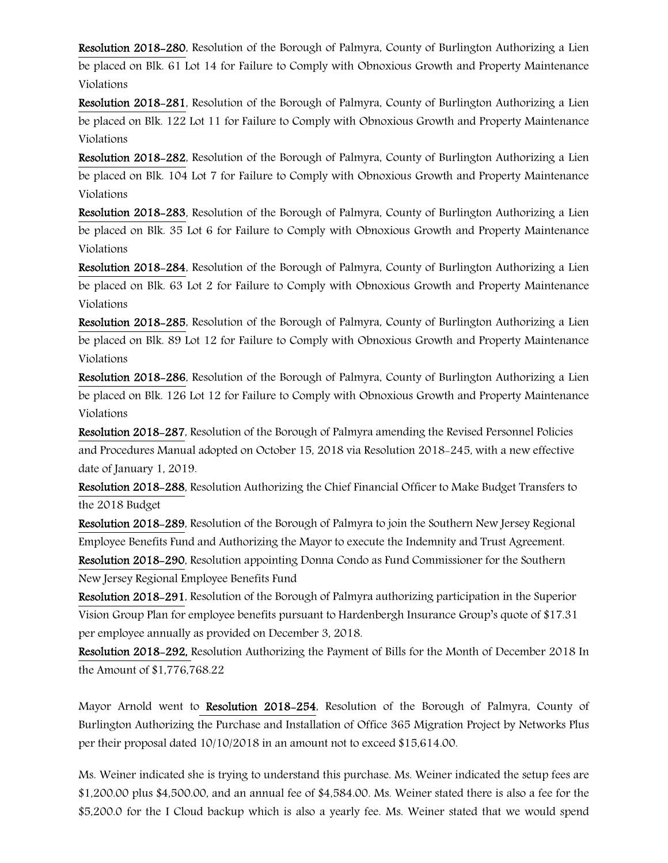Resolution 2018-280, Resolution of the Borough of Palmyra, County of Burlington Authorizing a Lien be placed on Blk. 61 Lot 14 for Failure to Comply with Obnoxious Growth and Property Maintenance Violations

Resolution 2018-281, Resolution of the Borough of Palmyra, County of Burlington Authorizing a Lien be placed on Blk. 122 Lot 11 for Failure to Comply with Obnoxious Growth and Property Maintenance Violations

Resolution 2018-282, Resolution of the Borough of Palmyra, County of Burlington Authorizing a Lien be placed on Blk. 104 Lot 7 for Failure to Comply with Obnoxious Growth and Property Maintenance Violations

Resolution 2018-283, Resolution of the Borough of Palmyra, County of Burlington Authorizing a Lien be placed on Blk. 35 Lot 6 for Failure to Comply with Obnoxious Growth and Property Maintenance Violations

Resolution 2018-284, Resolution of the Borough of Palmyra, County of Burlington Authorizing a Lien be placed on Blk. 63 Lot 2 for Failure to Comply with Obnoxious Growth and Property Maintenance Violations

Resolution 2018-285, Resolution of the Borough of Palmyra, County of Burlington Authorizing a Lien be placed on Blk. 89 Lot 12 for Failure to Comply with Obnoxious Growth and Property Maintenance Violations

Resolution 2018-286, Resolution of the Borough of Palmyra, County of Burlington Authorizing a Lien be placed on Blk. 126 Lot 12 for Failure to Comply with Obnoxious Growth and Property Maintenance Violations

Resolution 2018-287, Resolution of the Borough of Palmyra amending the Revised Personnel Policies and Procedures Manual adopted on October 15, 2018 via Resolution 2018-245, with a new effective date of January 1, 2019.

Resolution 2018-288, Resolution Authorizing the Chief Financial Officer to Make Budget Transfers to the 2018 Budget

Resolution 2018-289, Resolution of the Borough of Palmyra to join the Southern New Jersey Regional Employee Benefits Fund and Authorizing the Mayor to execute the Indemnity and Trust Agreement.

Resolution 2018-290, Resolution appointing Donna Condo as Fund Commissioner for the Southern New Jersey Regional Employee Benefits Fund

Resolution 2018-291, Resolution of the Borough of Palmyra authorizing participation in the Superior Vision Group Plan for employee benefits pursuant to Hardenbergh Insurance Group's quote of \$17.31 per employee annually as provided on December 3, 2018.

Resolution 2018-292, Resolution Authorizing the Payment of Bills for the Month of December 2018 In the Amount of \$1,776,768.22

Mayor Arnold went to Resolution 2018-254, Resolution of the Borough of Palmyra, County of Burlington Authorizing the Purchase and Installation of Office 365 Migration Project by Networks Plus per their proposal dated 10/10/2018 in an amount not to exceed \$15,614.00.

Ms. Weiner indicated she is trying to understand this purchase. Ms. Weiner indicated the setup fees are \$1,200.00 plus \$4,500.00, and an annual fee of \$4,584.00. Ms. Weiner stated there is also a fee for the \$5,200.0 for the I Cloud backup which is also a yearly fee. Ms. Weiner stated that we would spend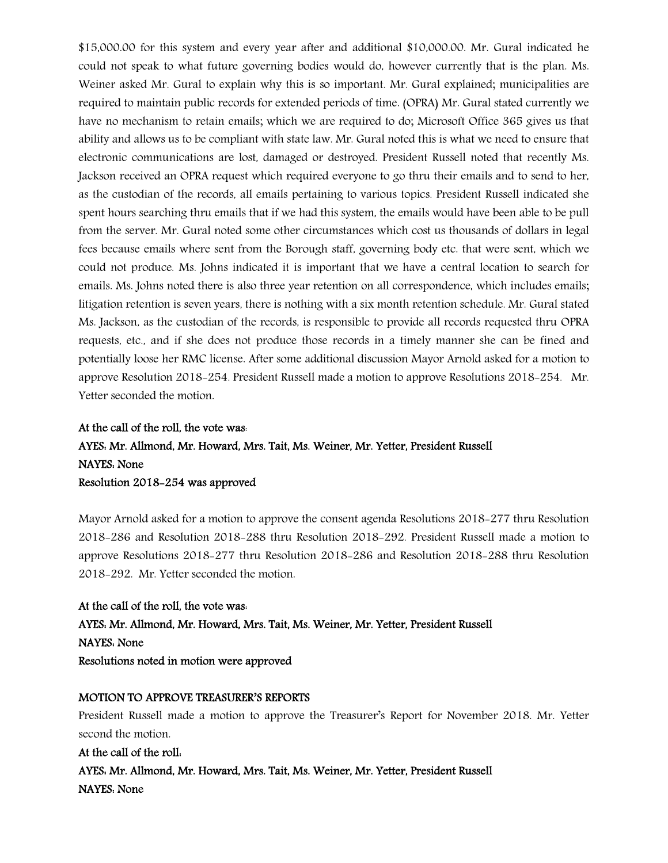\$15,000.00 for this system and every year after and additional \$10,000.00. Mr. Gural indicated he could not speak to what future governing bodies would do, however currently that is the plan. Ms. Weiner asked Mr. Gural to explain why this is so important. Mr. Gural explained; municipalities are required to maintain public records for extended periods of time. (OPRA) Mr. Gural stated currently we have no mechanism to retain emails; which we are required to do; Microsoft Office 365 gives us that ability and allows us to be compliant with state law. Mr. Gural noted this is what we need to ensure that electronic communications are lost, damaged or destroyed. President Russell noted that recently Ms. Jackson received an OPRA request which required everyone to go thru their emails and to send to her, as the custodian of the records, all emails pertaining to various topics. President Russell indicated she spent hours searching thru emails that if we had this system, the emails would have been able to be pull from the server. Mr. Gural noted some other circumstances which cost us thousands of dollars in legal fees because emails where sent from the Borough staff, governing body etc. that were sent, which we could not produce. Ms. Johns indicated it is important that we have a central location to search for emails. Ms. Johns noted there is also three year retention on all correspondence, which includes emails; litigation retention is seven years, there is nothing with a six month retention schedule. Mr. Gural stated Ms. Jackson, as the custodian of the records, is responsible to provide all records requested thru OPRA requests, etc., and if she does not produce those records in a timely manner she can be fined and potentially loose her RMC license. After some additional discussion Mayor Arnold asked for a motion to approve Resolution 2018-254. President Russell made a motion to approve Resolutions 2018-254. Mr. Yetter seconded the motion.

# At the call of the roll, the vote was: AYES: Mr. Allmond, Mr. Howard, Mrs. Tait, Ms. Weiner, Mr. Yetter, President Russell NAYES: None Resolution 2018-254 was approved

Mayor Arnold asked for a motion to approve the consent agenda Resolutions 2018-277 thru Resolution 2018-286 and Resolution 2018-288 thru Resolution 2018-292. President Russell made a motion to approve Resolutions 2018-277 thru Resolution 2018-286 and Resolution 2018-288 thru Resolution 2018-292. Mr. Yetter seconded the motion.

#### At the call of the roll, the vote was:

AYES: Mr. Allmond, Mr. Howard, Mrs. Tait, Ms. Weiner, Mr. Yetter, President Russell NAYES: None Resolutions noted in motion were approved

### MOTION TO APPROVE TREASURER'S REPORTS

President Russell made a motion to approve the Treasurer's Report for November 2018. Mr. Yetter second the motion.

At the call of the roll: AYES: Mr. Allmond, Mr. Howard, Mrs. Tait, Ms. Weiner, Mr. Yetter, President Russell NAYES: None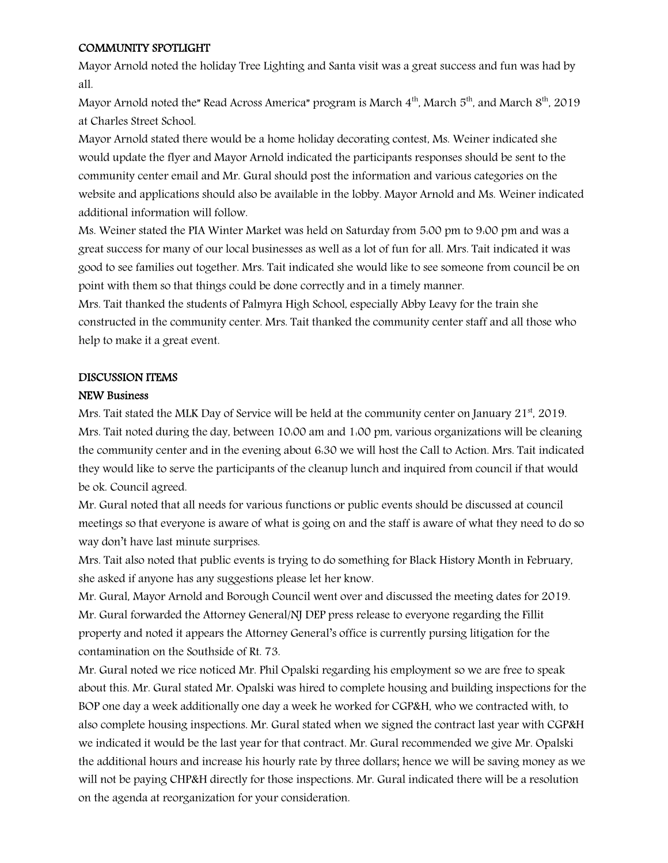### COMMUNITY SPOTLIGHT

Mayor Arnold noted the holiday Tree Lighting and Santa visit was a great success and fun was had by all.

Mayor Arnold noted the" Read Across America" program is March  $4<sup>th</sup>$ , March  $5<sup>th</sup>$ , and March  $8<sup>th</sup>$ , 2019 at Charles Street School.

Mayor Arnold stated there would be a home holiday decorating contest, Ms. Weiner indicated she would update the flyer and Mayor Arnold indicated the participants responses should be sent to the community center email and Mr. Gural should post the information and various categories on the website and applications should also be available in the lobby. Mayor Arnold and Ms. Weiner indicated additional information will follow.

Ms. Weiner stated the PIA Winter Market was held on Saturday from 5:00 pm to 9:00 pm and was a great success for many of our local businesses as well as a lot of fun for all. Mrs. Tait indicated it was good to see families out together. Mrs. Tait indicated she would like to see someone from council be on point with them so that things could be done correctly and in a timely manner.

Mrs. Tait thanked the students of Palmyra High School, especially Abby Leavy for the train she constructed in the community center. Mrs. Tait thanked the community center staff and all those who help to make it a great event.

# DISCUSSION ITEMS

### NEW Business

Mrs. Tait stated the MLK Day of Service will be held at the community center on January 21<sup>st</sup>, 2019. Mrs. Tait noted during the day, between 10:00 am and 1:00 pm, various organizations will be cleaning the community center and in the evening about 6:30 we will host the Call to Action. Mrs. Tait indicated they would like to serve the participants of the cleanup lunch and inquired from council if that would be ok. Council agreed.

Mr. Gural noted that all needs for various functions or public events should be discussed at council meetings so that everyone is aware of what is going on and the staff is aware of what they need to do so way don't have last minute surprises.

Mrs. Tait also noted that public events is trying to do something for Black History Month in February, she asked if anyone has any suggestions please let her know.

Mr. Gural, Mayor Arnold and Borough Council went over and discussed the meeting dates for 2019. Mr. Gural forwarded the Attorney General/NJ DEP press release to everyone regarding the Fillit property and noted it appears the Attorney General's office is currently pursing litigation for the contamination on the Southside of Rt. 73.

Mr. Gural noted we rice noticed Mr. Phil Opalski regarding his employment so we are free to speak about this. Mr. Gural stated Mr. Opalski was hired to complete housing and building inspections for the BOP one day a week additionally one day a week he worked for CGP&H, who we contracted with, to also complete housing inspections. Mr. Gural stated when we signed the contract last year with CGP&H we indicated it would be the last year for that contract. Mr. Gural recommended we give Mr. Opalski the additional hours and increase his hourly rate by three dollars; hence we will be saving money as we will not be paying CHP&H directly for those inspections. Mr. Gural indicated there will be a resolution on the agenda at reorganization for your consideration.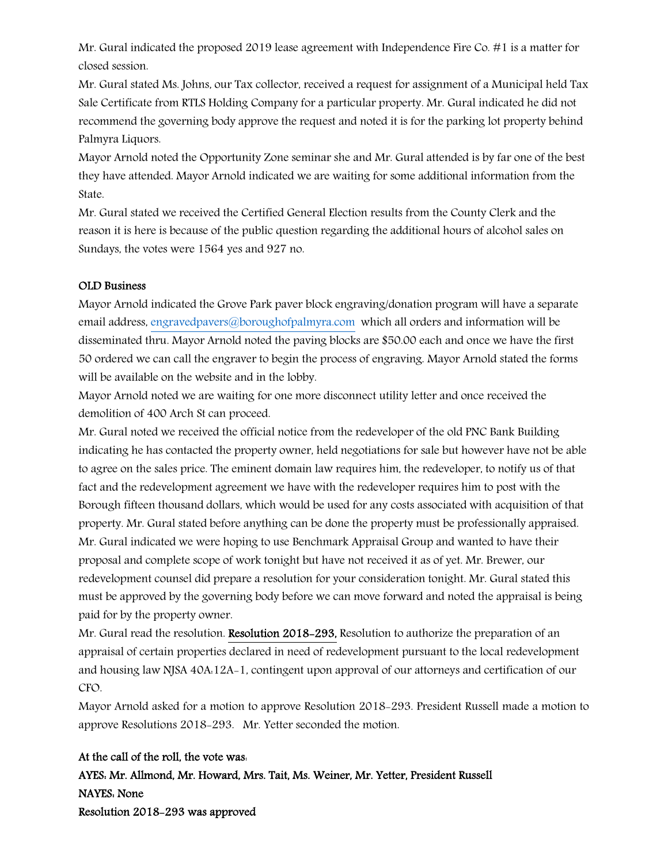Mr. Gural indicated the proposed 2019 lease agreement with Independence Fire Co. #1 is a matter for closed session.

Mr. Gural stated Ms. Johns, our Tax collector, received a request for assignment of a Municipal held Tax Sale Certificate from RTLS Holding Company for a particular property. Mr. Gural indicated he did not recommend the governing body approve the request and noted it is for the parking lot property behind Palmyra Liquors.

Mayor Arnold noted the Opportunity Zone seminar she and Mr. Gural attended is by far one of the best they have attended. Mayor Arnold indicated we are waiting for some additional information from the State.

Mr. Gural stated we received the Certified General Election results from the County Clerk and the reason it is here is because of the public question regarding the additional hours of alcohol sales on Sundays, the votes were 1564 yes and 927 no.

### OLD Business

Mayor Arnold indicated the Grove Park paver block engraving/donation program will have a separate email address, engravedpavers@boroughofpalmyra.com which all orders and information will be disseminated thru. Mayor Arnold noted the paving blocks are \$50.00 each and once we have the first 50 ordered we can call the engraver to begin the process of engraving. Mayor Arnold stated the forms will be available on the website and in the lobby.

Mayor Arnold noted we are waiting for one more disconnect utility letter and once received the demolition of 400 Arch St can proceed.

Mr. Gural noted we received the official notice from the redeveloper of the old PNC Bank Building indicating he has contacted the property owner, held negotiations for sale but however have not be able to agree on the sales price. The eminent domain law requires him, the redeveloper, to notify us of that fact and the redevelopment agreement we have with the redeveloper requires him to post with the Borough fifteen thousand dollars, which would be used for any costs associated with acquisition of that property. Mr. Gural stated before anything can be done the property must be professionally appraised. Mr. Gural indicated we were hoping to use Benchmark Appraisal Group and wanted to have their proposal and complete scope of work tonight but have not received it as of yet. Mr. Brewer, our redevelopment counsel did prepare a resolution for your consideration tonight. Mr. Gural stated this must be approved by the governing body before we can move forward and noted the appraisal is being paid for by the property owner.

Mr. Gural read the resolution. Resolution 2018-293, Resolution to authorize the preparation of an appraisal of certain properties declared in need of redevelopment pursuant to the local redevelopment and housing law NJSA 40A:12A-1, contingent upon approval of our attorneys and certification of our CFO.

Mayor Arnold asked for a motion to approve Resolution 2018-293. President Russell made a motion to approve Resolutions 2018-293. Mr. Yetter seconded the motion.

### At the call of the roll, the vote was:

AYES: Mr. Allmond, Mr. Howard, Mrs. Tait, Ms. Weiner, Mr. Yetter, President Russell NAYES: None Resolution 2018-293 was approved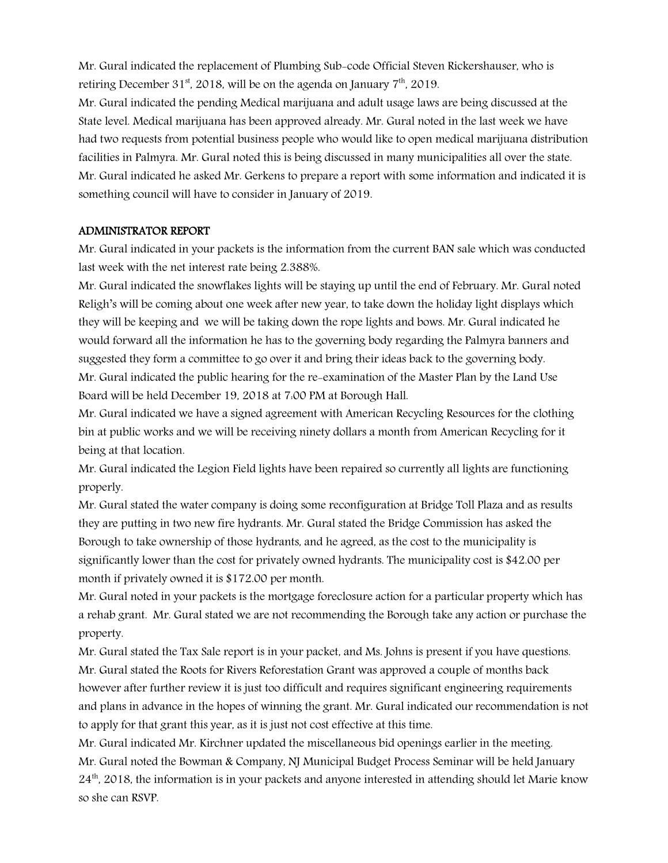Mr. Gural indicated the replacement of Plumbing Sub-code Official Steven Rickershauser, who is retiring December 31<sup>st</sup>, 2018, will be on the agenda on January  $7<sup>th</sup>$ , 2019.

Mr. Gural indicated the pending Medical marijuana and adult usage laws are being discussed at the State level. Medical marijuana has been approved already. Mr. Gural noted in the last week we have had two requests from potential business people who would like to open medical marijuana distribution facilities in Palmyra. Mr. Gural noted this is being discussed in many municipalities all over the state. Mr. Gural indicated he asked Mr. Gerkens to prepare a report with some information and indicated it is something council will have to consider in January of 2019.

### ADMINISTRATOR REPORT

Mr. Gural indicated in your packets is the information from the current BAN sale which was conducted last week with the net interest rate being 2.388%.

Mr. Gural indicated the snowflakes lights will be staying up until the end of February. Mr. Gural noted Religh's will be coming about one week after new year, to take down the holiday light displays which they will be keeping and we will be taking down the rope lights and bows. Mr. Gural indicated he would forward all the information he has to the governing body regarding the Palmyra banners and suggested they form a committee to go over it and bring their ideas back to the governing body. Mr. Gural indicated the public hearing for the re-examination of the Master Plan by the Land Use Board will be held December 19, 2018 at 7:00 PM at Borough Hall.

Mr. Gural indicated we have a signed agreement with American Recycling Resources for the clothing bin at public works and we will be receiving ninety dollars a month from American Recycling for it being at that location.

Mr. Gural indicated the Legion Field lights have been repaired so currently all lights are functioning properly.

Mr. Gural stated the water company is doing some reconfiguration at Bridge Toll Plaza and as results they are putting in two new fire hydrants. Mr. Gural stated the Bridge Commission has asked the Borough to take ownership of those hydrants, and he agreed, as the cost to the municipality is significantly lower than the cost for privately owned hydrants. The municipality cost is \$42.00 per month if privately owned it is \$172.00 per month.

Mr. Gural noted in your packets is the mortgage foreclosure action for a particular property which has a rehab grant. Mr. Gural stated we are not recommending the Borough take any action or purchase the property.

Mr. Gural stated the Tax Sale report is in your packet, and Ms. Johns is present if you have questions. Mr. Gural stated the Roots for Rivers Reforestation Grant was approved a couple of months back however after further review it is just too difficult and requires significant engineering requirements and plans in advance in the hopes of winning the grant. Mr. Gural indicated our recommendation is not to apply for that grant this year, as it is just not cost effective at this time.

Mr. Gural indicated Mr. Kirchner updated the miscellaneous bid openings earlier in the meeting. Mr. Gural noted the Bowman & Company, NJ Municipal Budget Process Seminar will be held January  $24<sup>th</sup>$ , 2018, the information is in your packets and anyone interested in attending should let Marie know so she can RSVP.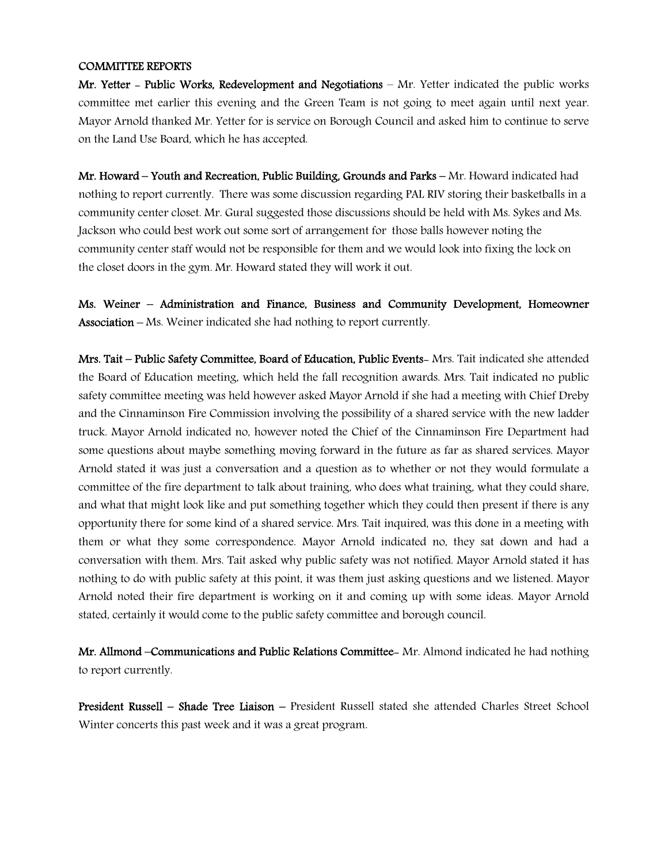### COMMITTEE REPORTS

Mr. Yetter - Public Works, Redevelopment and Negotiations – Mr. Yetter indicated the public works committee met earlier this evening and the Green Team is not going to meet again until next year. Mayor Arnold thanked Mr. Yetter for is service on Borough Council and asked him to continue to serve on the Land Use Board, which he has accepted.

Mr. Howard – Youth and Recreation, Public Building, Grounds and Parks – Mr. Howard indicated had nothing to report currently. There was some discussion regarding PAL RIV storing their basketballs in a community center closet. Mr. Gural suggested those discussions should be held with Ms. Sykes and Ms. Jackson who could best work out some sort of arrangement for those balls however noting the community center staff would not be responsible for them and we would look into fixing the lock on the closet doors in the gym. Mr. Howard stated they will work it out.

Ms. Weiner – Administration and Finance, Business and Community Development, Homeowner Association – Ms. Weiner indicated she had nothing to report currently.

Mrs. Tait – Public Safety Committee, Board of Education, Public Events- Mrs. Tait indicated she attended the Board of Education meeting, which held the fall recognition awards. Mrs. Tait indicated no public safety committee meeting was held however asked Mayor Arnold if she had a meeting with Chief Dreby and the Cinnaminson Fire Commission involving the possibility of a shared service with the new ladder truck. Mayor Arnold indicated no, however noted the Chief of the Cinnaminson Fire Department had some questions about maybe something moving forward in the future as far as shared services. Mayor Arnold stated it was just a conversation and a question as to whether or not they would formulate a committee of the fire department to talk about training, who does what training, what they could share, and what that might look like and put something together which they could then present if there is any opportunity there for some kind of a shared service. Mrs. Tait inquired, was this done in a meeting with them or what they some correspondence. Mayor Arnold indicated no, they sat down and had a conversation with them. Mrs. Tait asked why public safety was not notified. Mayor Arnold stated it has nothing to do with public safety at this point, it was them just asking questions and we listened. Mayor Arnold noted their fire department is working on it and coming up with some ideas. Mayor Arnold stated, certainly it would come to the public safety committee and borough council.

Mr. Allmond –Communications and Public Relations Committee- Mr. Almond indicated he had nothing to report currently.

President Russell – Shade Tree Liaison – President Russell stated she attended Charles Street School Winter concerts this past week and it was a great program.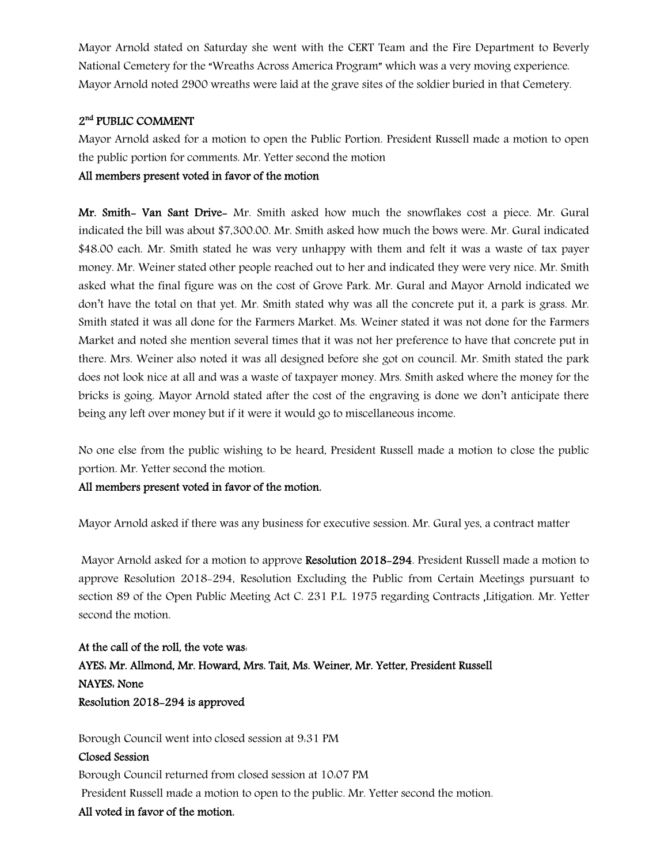Mayor Arnold stated on Saturday she went with the CERT Team and the Fire Department to Beverly National Cemetery for the "Wreaths Across America Program" which was a very moving experience. Mayor Arnold noted 2900 wreaths were laid at the grave sites of the soldier buried in that Cemetery.

# 2nd PUBLIC COMMENT

Mayor Arnold asked for a motion to open the Public Portion. President Russell made a motion to open the public portion for comments. Mr. Yetter second the motion

## All members present voted in favor of the motion

Mr. Smith- Van Sant Drive- Mr. Smith asked how much the snowflakes cost a piece. Mr. Gural indicated the bill was about \$7,300.00. Mr. Smith asked how much the bows were. Mr. Gural indicated \$48.00 each. Mr. Smith stated he was very unhappy with them and felt it was a waste of tax payer money. Mr. Weiner stated other people reached out to her and indicated they were very nice. Mr. Smith asked what the final figure was on the cost of Grove Park. Mr. Gural and Mayor Arnold indicated we don't have the total on that yet. Mr. Smith stated why was all the concrete put it, a park is grass. Mr. Smith stated it was all done for the Farmers Market. Ms. Weiner stated it was not done for the Farmers Market and noted she mention several times that it was not her preference to have that concrete put in there. Mrs. Weiner also noted it was all designed before she got on council. Mr. Smith stated the park does not look nice at all and was a waste of taxpayer money. Mrs. Smith asked where the money for the bricks is going. Mayor Arnold stated after the cost of the engraving is done we don't anticipate there being any left over money but if it were it would go to miscellaneous income.

No one else from the public wishing to be heard, President Russell made a motion to close the public portion. Mr. Yetter second the motion.

All members present voted in favor of the motion.

Mayor Arnold asked if there was any business for executive session. Mr. Gural yes, a contract matter

 Mayor Arnold asked for a motion to approve Resolution 2018-294. President Russell made a motion to approve Resolution 2018-294, Resolution Excluding the Public from Certain Meetings pursuant to section 89 of the Open Public Meeting Act C. 231 P.L. 1975 regarding Contracts ,Litigation. Mr. Yetter second the motion.

At the call of the roll, the vote was: AYES: Mr. Allmond, Mr. Howard, Mrs. Tait, Ms. Weiner, Mr. Yetter, President Russell NAYES: None Resolution 2018-294 is approved

Borough Council went into closed session at 9:31 PM

### Closed Session

Borough Council returned from closed session at 10:07 PM President Russell made a motion to open to the public. Mr. Yetter second the motion.

# All voted in favor of the motion.